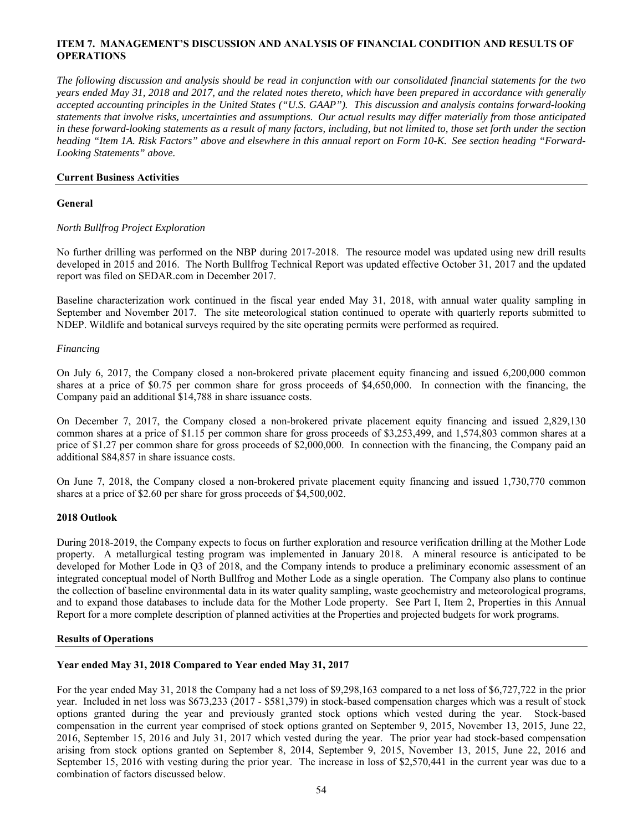# **ITEM 7. MANAGEMENT'S DISCUSSION AND ANALYSIS OF FINANCIAL CONDITION AND RESULTS OF OPERATIONS**

*The following discussion and analysis should be read in conjunction with our consolidated financial statements for the two years ended May 31, 2018 and 2017, and the related notes thereto, which have been prepared in accordance with generally accepted accounting principles in the United States ("U.S. GAAP"). This discussion and analysis contains forward-looking statements that involve risks, uncertainties and assumptions. Our actual results may differ materially from those anticipated in these forward-looking statements as a result of many factors, including, but not limited to, those set forth under the section heading "Item 1A. Risk Factors" above and elsewhere in this annual report on Form 10-K. See section heading "Forward-Looking Statements" above.*

# **Current Business Activities**

# **General**

# *North Bullfrog Project Exploration*

No further drilling was performed on the NBP during 2017-2018. The resource model was updated using new drill results developed in 2015 and 2016. The North Bullfrog Technical Report was updated effective October 31, 2017 and the updated report was filed on SEDAR.com in December 2017.

Baseline characterization work continued in the fiscal year ended May 31, 2018, with annual water quality sampling in September and November 2017. The site meteorological station continued to operate with quarterly reports submitted to NDEP. Wildlife and botanical surveys required by the site operating permits were performed as required.

# *Financing*

On July 6, 2017, the Company closed a non-brokered private placement equity financing and issued 6,200,000 common shares at a price of \$0.75 per common share for gross proceeds of \$4,650,000. In connection with the financing, the Company paid an additional \$14,788 in share issuance costs.

On December 7, 2017, the Company closed a non-brokered private placement equity financing and issued 2,829,130 common shares at a price of \$1.15 per common share for gross proceeds of \$3,253,499, and 1,574,803 common shares at a price of \$1.27 per common share for gross proceeds of \$2,000,000. In connection with the financing, the Company paid an additional \$84,857 in share issuance costs.

On June 7, 2018, the Company closed a non-brokered private placement equity financing and issued 1,730,770 common shares at a price of \$2.60 per share for gross proceeds of \$4,500,002.

## **2018 Outlook**

During 2018-2019, the Company expects to focus on further exploration and resource verification drilling at the Mother Lode property. A metallurgical testing program was implemented in January 2018. A mineral resource is anticipated to be developed for Mother Lode in Q3 of 2018, and the Company intends to produce a preliminary economic assessment of an integrated conceptual model of North Bullfrog and Mother Lode as a single operation. The Company also plans to continue the collection of baseline environmental data in its water quality sampling, waste geochemistry and meteorological programs, and to expand those databases to include data for the Mother Lode property. See Part I, Item 2, Properties in this Annual Report for a more complete description of planned activities at the Properties and projected budgets for work programs.

## **Results of Operations**

# **Year ended May 31, 2018 Compared to Year ended May 31, 2017**

For the year ended May 31, 2018 the Company had a net loss of \$9,298,163 compared to a net loss of \$6,727,722 in the prior year. Included in net loss was \$673,233 (2017 - \$581,379) in stock-based compensation charges which was a result of stock options granted during the year and previously granted stock options which vested during the year. Stock-based compensation in the current year comprised of stock options granted on September 9, 2015, November 13, 2015, June 22, 2016, September 15, 2016 and July 31, 2017 which vested during the year. The prior year had stock-based compensation arising from stock options granted on September 8, 2014, September 9, 2015, November 13, 2015, June 22, 2016 and September 15, 2016 with vesting during the prior year. The increase in loss of \$2,570,441 in the current year was due to a combination of factors discussed below.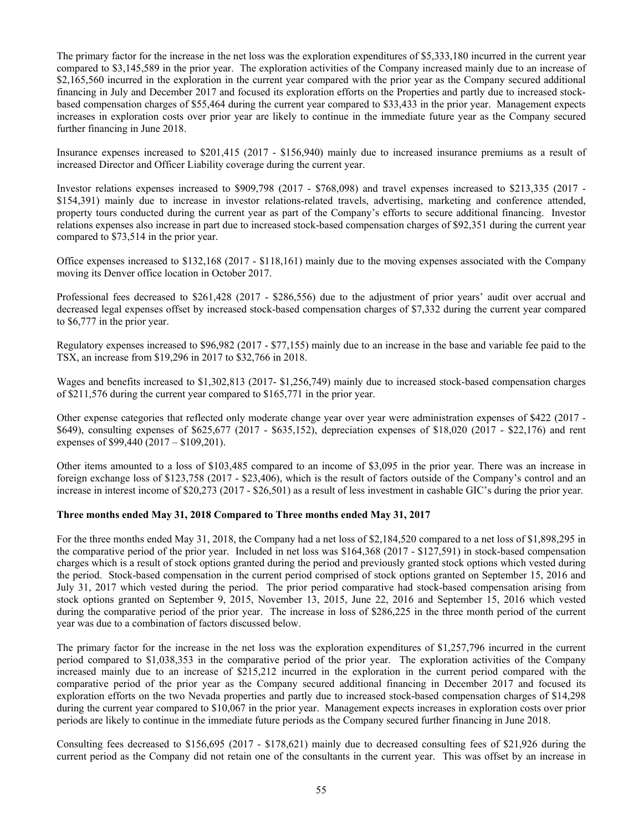The primary factor for the increase in the net loss was the exploration expenditures of \$5,333,180 incurred in the current year compared to \$3,145,589 in the prior year. The exploration activities of the Company increased mainly due to an increase of \$2,165,560 incurred in the exploration in the current year compared with the prior year as the Company secured additional financing in July and December 2017 and focused its exploration efforts on the Properties and partly due to increased stockbased compensation charges of \$55,464 during the current year compared to \$33,433 in the prior year. Management expects increases in exploration costs over prior year are likely to continue in the immediate future year as the Company secured further financing in June 2018.

Insurance expenses increased to \$201,415 (2017 - \$156,940) mainly due to increased insurance premiums as a result of increased Director and Officer Liability coverage during the current year.

Investor relations expenses increased to \$909,798 (2017 - \$768,098) and travel expenses increased to \$213,335 (2017 - \$154,391) mainly due to increase in investor relations-related travels, advertising, marketing and conference attended, property tours conducted during the current year as part of the Company's efforts to secure additional financing. Investor relations expenses also increase in part due to increased stock-based compensation charges of \$92,351 during the current year compared to \$73,514 in the prior year.

Office expenses increased to \$132,168 (2017 - \$118,161) mainly due to the moving expenses associated with the Company moving its Denver office location in October 2017.

Professional fees decreased to \$261,428 (2017 - \$286,556) due to the adjustment of prior years' audit over accrual and decreased legal expenses offset by increased stock-based compensation charges of \$7,332 during the current year compared to \$6,777 in the prior year.

Regulatory expenses increased to \$96,982 (2017 - \$77,155) mainly due to an increase in the base and variable fee paid to the TSX, an increase from \$19,296 in 2017 to \$32,766 in 2018.

Wages and benefits increased to \$1,302,813 (2017- \$1,256,749) mainly due to increased stock-based compensation charges of \$211,576 during the current year compared to \$165,771 in the prior year.

Other expense categories that reflected only moderate change year over year were administration expenses of \$422 (2017 - \$649), consulting expenses of \$625,677 (2017 - \$635,152), depreciation expenses of \$18,020 (2017 - \$22,176) and rent expenses of \$99,440 (2017 – \$109,201).

Other items amounted to a loss of \$103,485 compared to an income of \$3,095 in the prior year. There was an increase in foreign exchange loss of \$123,758 (2017 - \$23,406), which is the result of factors outside of the Company's control and an increase in interest income of \$20,273 (2017 - \$26,501) as a result of less investment in cashable GIC's during the prior year.

## **Three months ended May 31, 2018 Compared to Three months ended May 31, 2017**

For the three months ended May 31, 2018, the Company had a net loss of \$2,184,520 compared to a net loss of \$1,898,295 in the comparative period of the prior year. Included in net loss was \$164,368 (2017 - \$127,591) in stock-based compensation charges which is a result of stock options granted during the period and previously granted stock options which vested during the period. Stock-based compensation in the current period comprised of stock options granted on September 15, 2016 and July 31, 2017 which vested during the period. The prior period comparative had stock-based compensation arising from stock options granted on September 9, 2015, November 13, 2015, June 22, 2016 and September 15, 2016 which vested during the comparative period of the prior year. The increase in loss of \$286,225 in the three month period of the current year was due to a combination of factors discussed below.

The primary factor for the increase in the net loss was the exploration expenditures of \$1,257,796 incurred in the current period compared to \$1,038,353 in the comparative period of the prior year. The exploration activities of the Company increased mainly due to an increase of \$215,212 incurred in the exploration in the current period compared with the comparative period of the prior year as the Company secured additional financing in December 2017 and focused its exploration efforts on the two Nevada properties and partly due to increased stock-based compensation charges of \$14,298 during the current year compared to \$10,067 in the prior year. Management expects increases in exploration costs over prior periods are likely to continue in the immediate future periods as the Company secured further financing in June 2018.

Consulting fees decreased to \$156,695 (2017 - \$178,621) mainly due to decreased consulting fees of \$21,926 during the current period as the Company did not retain one of the consultants in the current year. This was offset by an increase in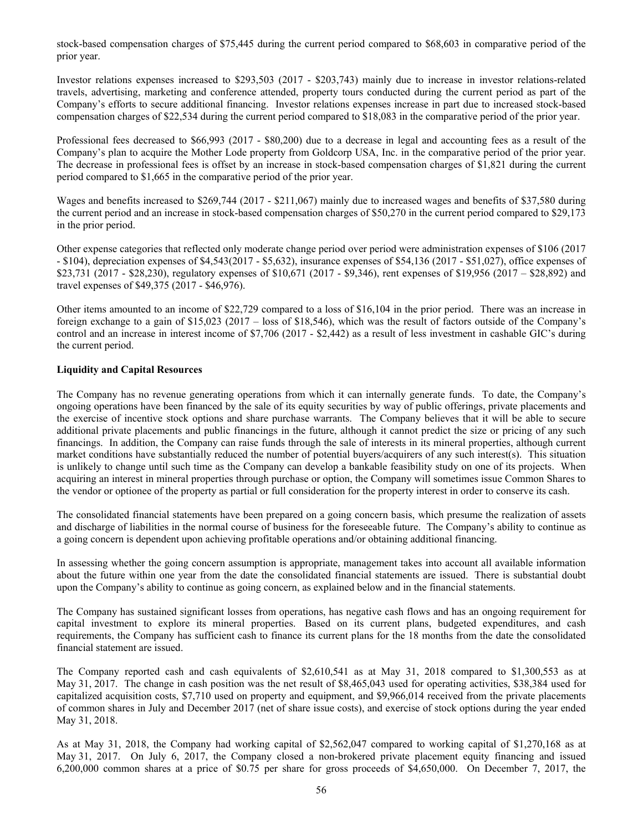stock-based compensation charges of \$75,445 during the current period compared to \$68,603 in comparative period of the prior year.

Investor relations expenses increased to \$293,503 (2017 - \$203,743) mainly due to increase in investor relations-related travels, advertising, marketing and conference attended, property tours conducted during the current period as part of the Company's efforts to secure additional financing. Investor relations expenses increase in part due to increased stock-based compensation charges of \$22,534 during the current period compared to \$18,083 in the comparative period of the prior year.

Professional fees decreased to \$66,993 (2017 - \$80,200) due to a decrease in legal and accounting fees as a result of the Company's plan to acquire the Mother Lode property from Goldcorp USA, Inc. in the comparative period of the prior year. The decrease in professional fees is offset by an increase in stock-based compensation charges of \$1,821 during the current period compared to \$1,665 in the comparative period of the prior year.

Wages and benefits increased to \$269,744 (2017 - \$211,067) mainly due to increased wages and benefits of \$37,580 during the current period and an increase in stock-based compensation charges of \$50,270 in the current period compared to \$29,173 in the prior period.

Other expense categories that reflected only moderate change period over period were administration expenses of \$106 (2017 - \$104), depreciation expenses of \$4,543(2017 - \$5,632), insurance expenses of \$54,136 (2017 - \$51,027), office expenses of \$23,731 (2017 - \$28,230), regulatory expenses of \$10,671 (2017 - \$9,346), rent expenses of \$19,956 (2017 – \$28,892) and travel expenses of \$49,375 (2017 - \$46,976).

Other items amounted to an income of \$22,729 compared to a loss of \$16,104 in the prior period. There was an increase in foreign exchange to a gain of \$15,023 (2017 – loss of \$18,546), which was the result of factors outside of the Company's control and an increase in interest income of \$7,706 (2017 - \$2,442) as a result of less investment in cashable GIC's during the current period.

# **Liquidity and Capital Resources**

The Company has no revenue generating operations from which it can internally generate funds. To date, the Company's ongoing operations have been financed by the sale of its equity securities by way of public offerings, private placements and the exercise of incentive stock options and share purchase warrants. The Company believes that it will be able to secure additional private placements and public financings in the future, although it cannot predict the size or pricing of any such financings. In addition, the Company can raise funds through the sale of interests in its mineral properties, although current market conditions have substantially reduced the number of potential buyers/acquirers of any such interest(s). This situation is unlikely to change until such time as the Company can develop a bankable feasibility study on one of its projects. When acquiring an interest in mineral properties through purchase or option, the Company will sometimes issue Common Shares to the vendor or optionee of the property as partial or full consideration for the property interest in order to conserve its cash.

The consolidated financial statements have been prepared on a going concern basis, which presume the realization of assets and discharge of liabilities in the normal course of business for the foreseeable future. The Company's ability to continue as a going concern is dependent upon achieving profitable operations and/or obtaining additional financing.

In assessing whether the going concern assumption is appropriate, management takes into account all available information about the future within one year from the date the consolidated financial statements are issued. There is substantial doubt upon the Company's ability to continue as going concern, as explained below and in the financial statements.

The Company has sustained significant losses from operations, has negative cash flows and has an ongoing requirement for capital investment to explore its mineral properties. Based on its current plans, budgeted expenditures, and cash requirements, the Company has sufficient cash to finance its current plans for the 18 months from the date the consolidated financial statement are issued.

The Company reported cash and cash equivalents of \$2,610,541 as at May 31, 2018 compared to \$1,300,553 as at May 31, 2017. The change in cash position was the net result of \$8,465,043 used for operating activities, \$38,384 used for capitalized acquisition costs, \$7,710 used on property and equipment, and \$9,966,014 received from the private placements of common shares in July and December 2017 (net of share issue costs), and exercise of stock options during the year ended May 31, 2018.

As at May 31, 2018, the Company had working capital of \$2,562,047 compared to working capital of \$1,270,168 as at May 31, 2017. On July 6, 2017, the Company closed a non-brokered private placement equity financing and issued 6,200,000 common shares at a price of \$0.75 per share for gross proceeds of \$4,650,000. On December 7, 2017, the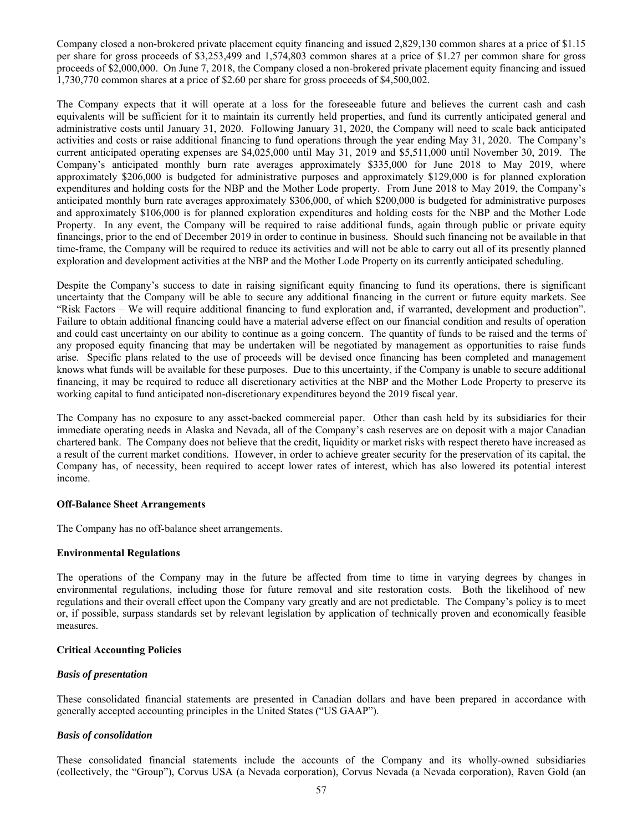Company closed a non-brokered private placement equity financing and issued 2,829,130 common shares at a price of \$1.15 per share for gross proceeds of \$3,253,499 and 1,574,803 common shares at a price of \$1.27 per common share for gross proceeds of \$2,000,000. On June 7, 2018, the Company closed a non-brokered private placement equity financing and issued 1,730,770 common shares at a price of \$2.60 per share for gross proceeds of \$4,500,002.

The Company expects that it will operate at a loss for the foreseeable future and believes the current cash and cash equivalents will be sufficient for it to maintain its currently held properties, and fund its currently anticipated general and administrative costs until January 31, 2020. Following January 31, 2020, the Company will need to scale back anticipated activities and costs or raise additional financing to fund operations through the year ending May 31, 2020. The Company's current anticipated operating expenses are \$4,025,000 until May 31, 2019 and \$5,511,000 until November 30, 2019. The Company's anticipated monthly burn rate averages approximately \$335,000 for June 2018 to May 2019, where approximately \$206,000 is budgeted for administrative purposes and approximately \$129,000 is for planned exploration expenditures and holding costs for the NBP and the Mother Lode property. From June 2018 to May 2019, the Company's anticipated monthly burn rate averages approximately \$306,000, of which \$200,000 is budgeted for administrative purposes and approximately \$106,000 is for planned exploration expenditures and holding costs for the NBP and the Mother Lode Property. In any event, the Company will be required to raise additional funds, again through public or private equity financings, prior to the end of December 2019 in order to continue in business. Should such financing not be available in that time-frame, the Company will be required to reduce its activities and will not be able to carry out all of its presently planned exploration and development activities at the NBP and the Mother Lode Property on its currently anticipated scheduling.

Despite the Company's success to date in raising significant equity financing to fund its operations, there is significant uncertainty that the Company will be able to secure any additional financing in the current or future equity markets. See "Risk Factors – We will require additional financing to fund exploration and, if warranted, development and production". Failure to obtain additional financing could have a material adverse effect on our financial condition and results of operation and could cast uncertainty on our ability to continue as a going concern. The quantity of funds to be raised and the terms of any proposed equity financing that may be undertaken will be negotiated by management as opportunities to raise funds arise. Specific plans related to the use of proceeds will be devised once financing has been completed and management knows what funds will be available for these purposes. Due to this uncertainty, if the Company is unable to secure additional financing, it may be required to reduce all discretionary activities at the NBP and the Mother Lode Property to preserve its working capital to fund anticipated non-discretionary expenditures beyond the 2019 fiscal year.

The Company has no exposure to any asset-backed commercial paper. Other than cash held by its subsidiaries for their immediate operating needs in Alaska and Nevada, all of the Company's cash reserves are on deposit with a major Canadian chartered bank. The Company does not believe that the credit, liquidity or market risks with respect thereto have increased as a result of the current market conditions. However, in order to achieve greater security for the preservation of its capital, the Company has, of necessity, been required to accept lower rates of interest, which has also lowered its potential interest income.

## **Off-Balance Sheet Arrangements**

The Company has no off-balance sheet arrangements.

## **Environmental Regulations**

The operations of the Company may in the future be affected from time to time in varying degrees by changes in environmental regulations, including those for future removal and site restoration costs. Both the likelihood of new regulations and their overall effect upon the Company vary greatly and are not predictable. The Company's policy is to meet or, if possible, surpass standards set by relevant legislation by application of technically proven and economically feasible measures.

## **Critical Accounting Policies**

## *Basis of presentation*

These consolidated financial statements are presented in Canadian dollars and have been prepared in accordance with generally accepted accounting principles in the United States ("US GAAP").

## *Basis of consolidation*

These consolidated financial statements include the accounts of the Company and its wholly-owned subsidiaries (collectively, the "Group"), Corvus USA (a Nevada corporation), Corvus Nevada (a Nevada corporation), Raven Gold (an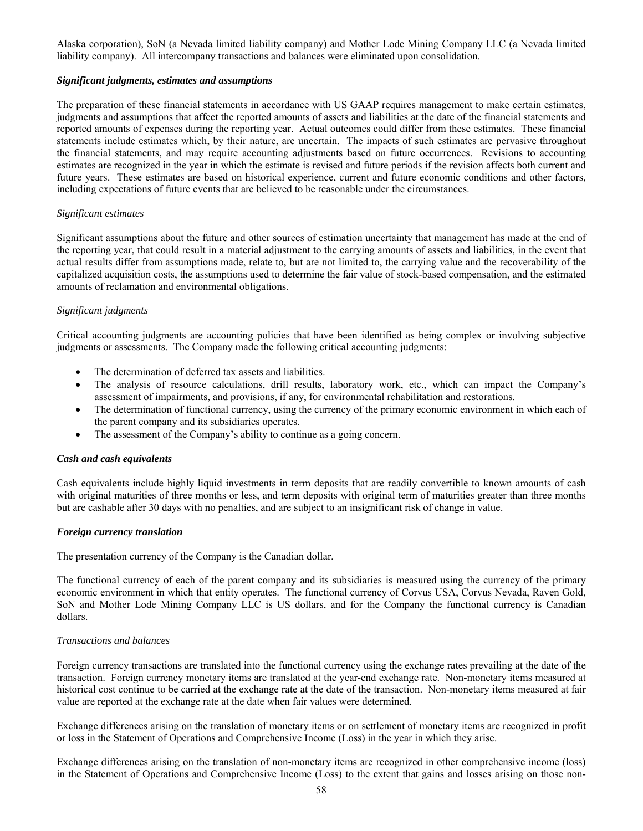Alaska corporation), SoN (a Nevada limited liability company) and Mother Lode Mining Company LLC (a Nevada limited liability company). All intercompany transactions and balances were eliminated upon consolidation.

# *Significant judgments, estimates and assumptions*

The preparation of these financial statements in accordance with US GAAP requires management to make certain estimates, judgments and assumptions that affect the reported amounts of assets and liabilities at the date of the financial statements and reported amounts of expenses during the reporting year. Actual outcomes could differ from these estimates. These financial statements include estimates which, by their nature, are uncertain. The impacts of such estimates are pervasive throughout the financial statements, and may require accounting adjustments based on future occurrences. Revisions to accounting estimates are recognized in the year in which the estimate is revised and future periods if the revision affects both current and future years. These estimates are based on historical experience, current and future economic conditions and other factors, including expectations of future events that are believed to be reasonable under the circumstances.

# *Significant estimates*

Significant assumptions about the future and other sources of estimation uncertainty that management has made at the end of the reporting year, that could result in a material adjustment to the carrying amounts of assets and liabilities, in the event that actual results differ from assumptions made, relate to, but are not limited to, the carrying value and the recoverability of the capitalized acquisition costs, the assumptions used to determine the fair value of stock-based compensation, and the estimated amounts of reclamation and environmental obligations.

# *Significant judgments*

Critical accounting judgments are accounting policies that have been identified as being complex or involving subjective judgments or assessments. The Company made the following critical accounting judgments:

- The determination of deferred tax assets and liabilities.
- The analysis of resource calculations, drill results, laboratory work, etc., which can impact the Company's assessment of impairments, and provisions, if any, for environmental rehabilitation and restorations.
- The determination of functional currency, using the currency of the primary economic environment in which each of the parent company and its subsidiaries operates.
- The assessment of the Company's ability to continue as a going concern.

## *Cash and cash equivalents*

Cash equivalents include highly liquid investments in term deposits that are readily convertible to known amounts of cash with original maturities of three months or less, and term deposits with original term of maturities greater than three months but are cashable after 30 days with no penalties, and are subject to an insignificant risk of change in value.

## *Foreign currency translation*

The presentation currency of the Company is the Canadian dollar.

The functional currency of each of the parent company and its subsidiaries is measured using the currency of the primary economic environment in which that entity operates. The functional currency of Corvus USA, Corvus Nevada, Raven Gold, SoN and Mother Lode Mining Company LLC is US dollars, and for the Company the functional currency is Canadian dollars.

# *Transactions and balances*

Foreign currency transactions are translated into the functional currency using the exchange rates prevailing at the date of the transaction. Foreign currency monetary items are translated at the year-end exchange rate. Non-monetary items measured at historical cost continue to be carried at the exchange rate at the date of the transaction. Non-monetary items measured at fair value are reported at the exchange rate at the date when fair values were determined.

Exchange differences arising on the translation of monetary items or on settlement of monetary items are recognized in profit or loss in the Statement of Operations and Comprehensive Income (Loss) in the year in which they arise.

Exchange differences arising on the translation of non-monetary items are recognized in other comprehensive income (loss) in the Statement of Operations and Comprehensive Income (Loss) to the extent that gains and losses arising on those non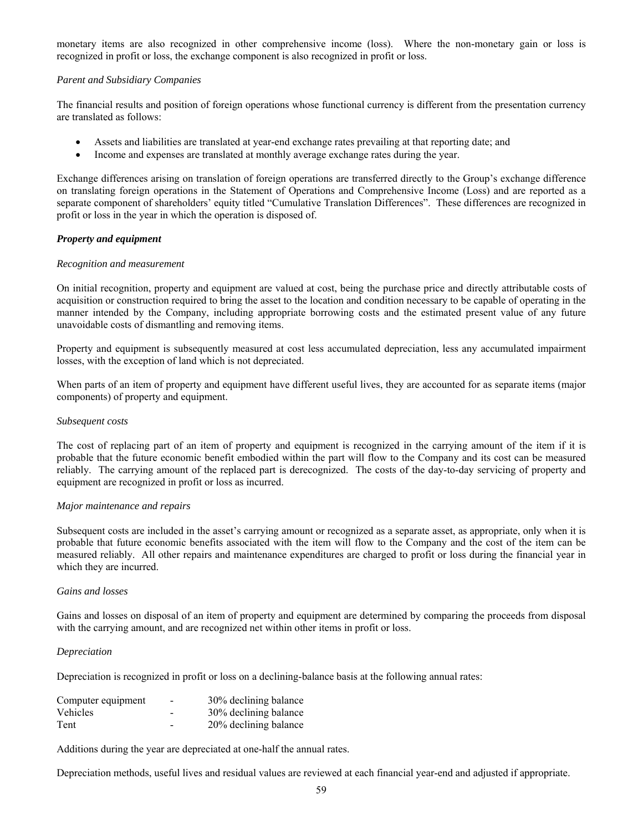monetary items are also recognized in other comprehensive income (loss). Where the non-monetary gain or loss is recognized in profit or loss, the exchange component is also recognized in profit or loss.

# *Parent and Subsidiary Companies*

The financial results and position of foreign operations whose functional currency is different from the presentation currency are translated as follows:

- Assets and liabilities are translated at year-end exchange rates prevailing at that reporting date; and
- Income and expenses are translated at monthly average exchange rates during the year.

Exchange differences arising on translation of foreign operations are transferred directly to the Group's exchange difference on translating foreign operations in the Statement of Operations and Comprehensive Income (Loss) and are reported as a separate component of shareholders' equity titled "Cumulative Translation Differences". These differences are recognized in profit or loss in the year in which the operation is disposed of.

# *Property and equipment*

## *Recognition and measurement*

On initial recognition, property and equipment are valued at cost, being the purchase price and directly attributable costs of acquisition or construction required to bring the asset to the location and condition necessary to be capable of operating in the manner intended by the Company, including appropriate borrowing costs and the estimated present value of any future unavoidable costs of dismantling and removing items.

Property and equipment is subsequently measured at cost less accumulated depreciation, less any accumulated impairment losses, with the exception of land which is not depreciated.

When parts of an item of property and equipment have different useful lives, they are accounted for as separate items (major components) of property and equipment.

#### *Subsequent costs*

The cost of replacing part of an item of property and equipment is recognized in the carrying amount of the item if it is probable that the future economic benefit embodied within the part will flow to the Company and its cost can be measured reliably. The carrying amount of the replaced part is derecognized. The costs of the day-to-day servicing of property and equipment are recognized in profit or loss as incurred.

## *Major maintenance and repairs*

Subsequent costs are included in the asset's carrying amount or recognized as a separate asset, as appropriate, only when it is probable that future economic benefits associated with the item will flow to the Company and the cost of the item can be measured reliably. All other repairs and maintenance expenditures are charged to profit or loss during the financial year in which they are incurred.

## *Gains and losses*

Gains and losses on disposal of an item of property and equipment are determined by comparing the proceeds from disposal with the carrying amount, and are recognized net within other items in profit or loss.

## *Depreciation*

Depreciation is recognized in profit or loss on a declining-balance basis at the following annual rates:

| Computer equipment | - | 30% declining balance |
|--------------------|---|-----------------------|
| <b>Vehicles</b>    | - | 30% declining balance |
| Tent               | - | 20% declining balance |

Additions during the year are depreciated at one-half the annual rates.

Depreciation methods, useful lives and residual values are reviewed at each financial year-end and adjusted if appropriate.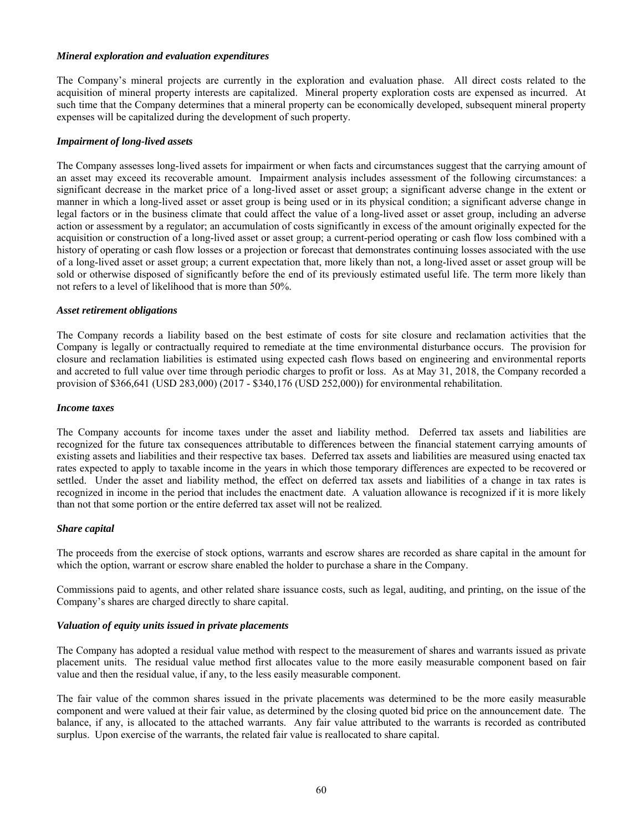## *Mineral exploration and evaluation expenditures*

The Company's mineral projects are currently in the exploration and evaluation phase. All direct costs related to the acquisition of mineral property interests are capitalized. Mineral property exploration costs are expensed as incurred. At such time that the Company determines that a mineral property can be economically developed, subsequent mineral property expenses will be capitalized during the development of such property.

# *Impairment of long-lived assets*

The Company assesses long-lived assets for impairment or when facts and circumstances suggest that the carrying amount of an asset may exceed its recoverable amount. Impairment analysis includes assessment of the following circumstances: a significant decrease in the market price of a long-lived asset or asset group; a significant adverse change in the extent or manner in which a long-lived asset or asset group is being used or in its physical condition; a significant adverse change in legal factors or in the business climate that could affect the value of a long-lived asset or asset group, including an adverse action or assessment by a regulator; an accumulation of costs significantly in excess of the amount originally expected for the acquisition or construction of a long-lived asset or asset group; a current-period operating or cash flow loss combined with a history of operating or cash flow losses or a projection or forecast that demonstrates continuing losses associated with the use of a long-lived asset or asset group; a current expectation that, more likely than not, a long-lived asset or asset group will be sold or otherwise disposed of significantly before the end of its previously estimated useful life. The term more likely than not refers to a level of likelihood that is more than 50%.

# *Asset retirement obligations*

The Company records a liability based on the best estimate of costs for site closure and reclamation activities that the Company is legally or contractually required to remediate at the time environmental disturbance occurs. The provision for closure and reclamation liabilities is estimated using expected cash flows based on engineering and environmental reports and accreted to full value over time through periodic charges to profit or loss. As at May 31, 2018, the Company recorded a provision of \$366,641 (USD 283,000) (2017 - \$340,176 (USD 252,000)) for environmental rehabilitation.

## *Income taxes*

The Company accounts for income taxes under the asset and liability method. Deferred tax assets and liabilities are recognized for the future tax consequences attributable to differences between the financial statement carrying amounts of existing assets and liabilities and their respective tax bases. Deferred tax assets and liabilities are measured using enacted tax rates expected to apply to taxable income in the years in which those temporary differences are expected to be recovered or settled. Under the asset and liability method, the effect on deferred tax assets and liabilities of a change in tax rates is recognized in income in the period that includes the enactment date. A valuation allowance is recognized if it is more likely than not that some portion or the entire deferred tax asset will not be realized.

## *Share capital*

The proceeds from the exercise of stock options, warrants and escrow shares are recorded as share capital in the amount for which the option, warrant or escrow share enabled the holder to purchase a share in the Company.

Commissions paid to agents, and other related share issuance costs, such as legal, auditing, and printing, on the issue of the Company's shares are charged directly to share capital.

## *Valuation of equity units issued in private placements*

The Company has adopted a residual value method with respect to the measurement of shares and warrants issued as private placement units. The residual value method first allocates value to the more easily measurable component based on fair value and then the residual value, if any, to the less easily measurable component.

The fair value of the common shares issued in the private placements was determined to be the more easily measurable component and were valued at their fair value, as determined by the closing quoted bid price on the announcement date. The balance, if any, is allocated to the attached warrants. Any fair value attributed to the warrants is recorded as contributed surplus. Upon exercise of the warrants, the related fair value is reallocated to share capital.